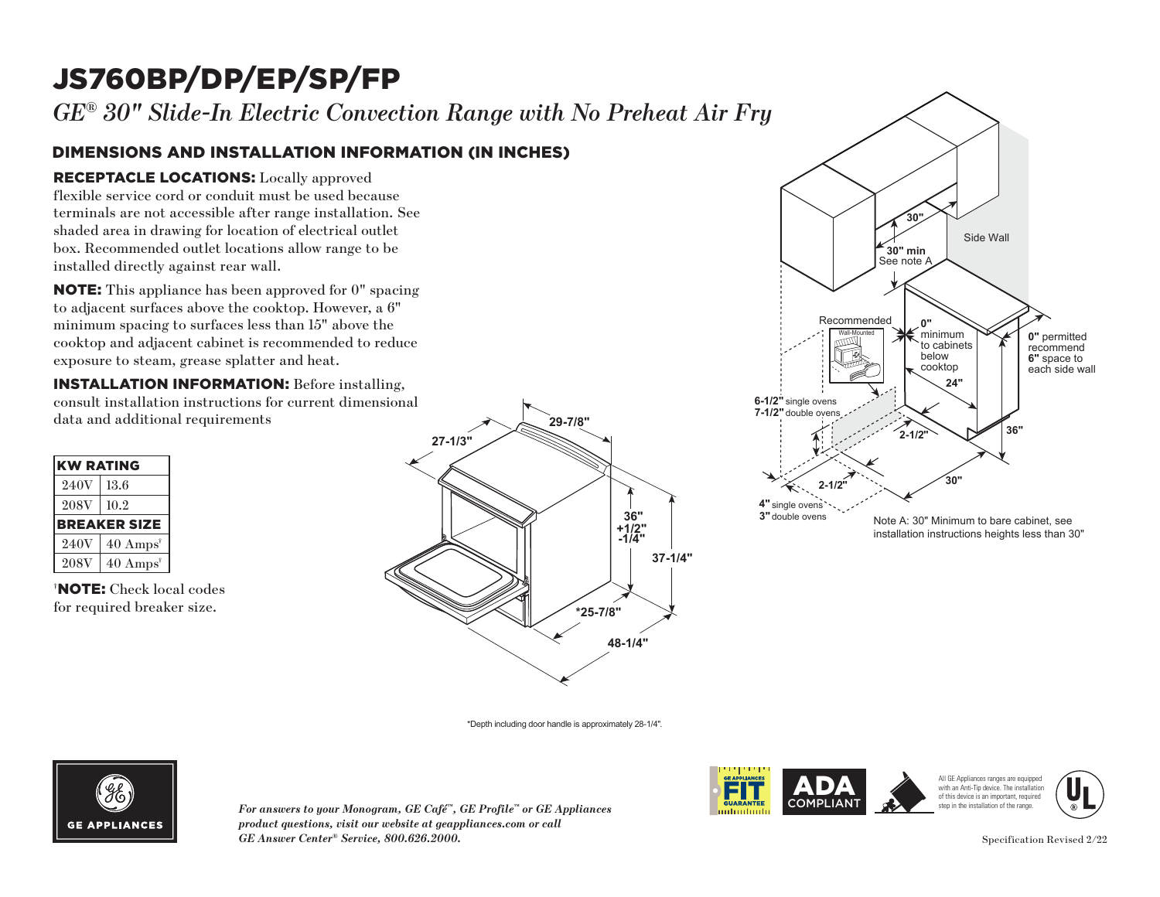# JS760BP/DP/EP/SP/FP

*GE® 30" Slide-In Electric Convection Range with No Preheat Air Fry*

### DIMENSIONS AND INSTALLATION INFORMATION (IN INCHES)

### RECEPTACLE LOCATIONS: Locally approved

flexible service cord or conduit must be used because terminals are not accessible after range installation. See **30"** shaded area in drawing for location of electrical outlet box. Recommended outlet locations allow range to be installed directly against rear wall. must be used becauter range installation<br>tion of electrical out<br>tions allow range to<br>wall.<br>n approved for 0" sp<br>cooktop. However, a

**NOTE:** This appliance has been approved for 0" spacing to adjacent surfaces above the cooktop. However, a 6"  $\min$  spacing to surfaces less than  $15"$  above the minimum spacing to sarraces ress than 15 associate exposure to steam, grease splatter and heat. ase sp Recommended

**INSTALLATION INFORMATION:** Before installing, consult installation instructions for current dimensional **7-1/2"** double ovens

| <b>KW RATING</b> |                             |
|------------------|-----------------------------|
| 240V             | 13.6                        |
| <b>208V</b>      | 10.2                        |
|                  | <b>BREAKER SIZE</b>         |
| 240V             | $40 \text{ Amps}^{\dagger}$ |
| <b>208V</b>      | $40 \text{ Amps}^*$         |

† NOTE: Check local codes for required breaker size.





\*Depth including door handle is approximately 28-1/4".



*For answers to your Monogram, GE Café™, GE Profile™ or GE Appliances product questions, visit our website at geappliances.com or call GE Answer Center® Service, 800.626.2000.* Specification Revised 2/22